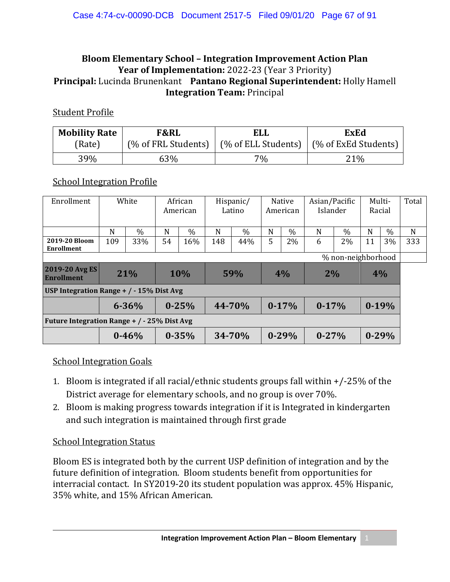### **Bloom Elementary School – Integration Improvement Action Plan Year of Implementation:** 2022-23 (Year 3 Priority) **Principal:** Lucinda Brunenkant **Pantano Regional Superintendent:** Holly Hamell **Integration Team:** Principal

#### Student Profile

| <b>Mobility Rate</b> | F&RL | <b>ELL</b> | <b>ExEd</b>                                                      |  |  |  |
|----------------------|------|------------|------------------------------------------------------------------|--|--|--|
| (Rate)               |      |            | (% of FRL Students)   (% of ELL Students)   (% of ExEd Students) |  |  |  |
| 39%                  | 63%  | $7\%$      | 21%                                                              |  |  |  |

#### School Integration Profile

| Enrollment                                   | White     |               | African<br>American |               | Hispanic/<br>Latino |        | <b>Native</b><br>American |               | Asian/Pacific<br>Islander |      | Multi-<br>Racial |           | Total |
|----------------------------------------------|-----------|---------------|---------------------|---------------|---------------------|--------|---------------------------|---------------|---------------------------|------|------------------|-----------|-------|
|                                              |           |               |                     |               |                     |        |                           |               |                           |      |                  |           |       |
|                                              | N         | $\frac{0}{0}$ | N                   | $\frac{0}{0}$ | N                   | $\%$   | N                         | $\frac{0}{0}$ | N                         | $\%$ | N                | $\%$      | N     |
| 2019-20 Bloom<br>Enrollment                  | 109       | 33%           | 54                  | 16%           | 148                 | 44%    | 5                         | 2%            | 6                         | 2%   | 11               | 3%        | 333   |
| % non-neighborhood                           |           |               |                     |               |                     |        |                           |               |                           |      |                  |           |       |
| 2019-20 Avg ES<br><b>Enrollment</b>          | 21%       |               | <b>10%</b>          |               | 59%                 |        | 4%                        |               | 2%                        |      | 4%               |           |       |
| USP Integration Range $+$ / $-$ 15% Dist Avg |           |               |                     |               |                     |        |                           |               |                           |      |                  |           |       |
|                                              | $6 - 36%$ |               |                     | $0 - 25%$     |                     | 44-70% | $0-17%$                   |               | $0-17%$                   |      | $0-19%$          |           |       |
| Future Integration Range + / - 25% Dist Avg  |           |               |                     |               |                     |        |                           |               |                           |      |                  |           |       |
|                                              |           | $0 - 46%$     |                     | $0 - 35%$     |                     | 34-70% |                           | $0 - 29%$     | $0 - 27%$                 |      |                  | $0 - 29%$ |       |

#### School Integration Goals

- 1. Bloom is integrated if all racial/ethnic students groups fall within +/-25% of the District average for elementary schools, and no group is over 70%.
- 2. Bloom is making progress towards integration if it is Integrated in kindergarten and such integration is maintained through first grade

#### School Integration Status

Bloom ES is integrated both by the current USP definition of integration and by the future definition of integration. Bloom students benefit from opportunities for interracial contact. In SY2019-20 its student population was approx. 45% Hispanic, 35% white, and 15% African American.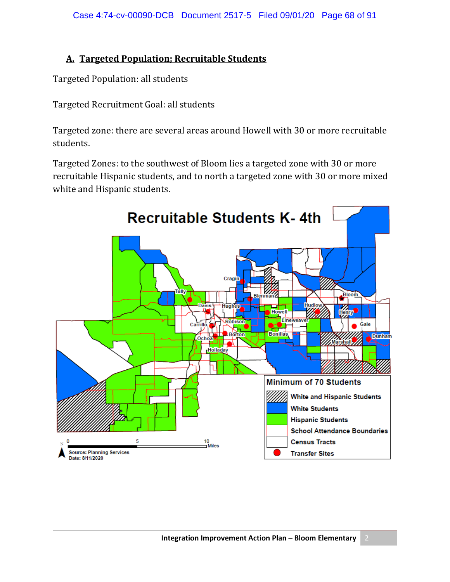### **A. Targeted Population; Recruitable Students**

Targeted Population: all students

Targeted Recruitment Goal: all students

Targeted zone: there are several areas around Howell with 30 or more recruitable students.

Targeted Zones: to the southwest of Bloom lies a targeted zone with 30 or more recruitable Hispanic students, and to north a targeted zone with 30 or more mixed white and Hispanic students.

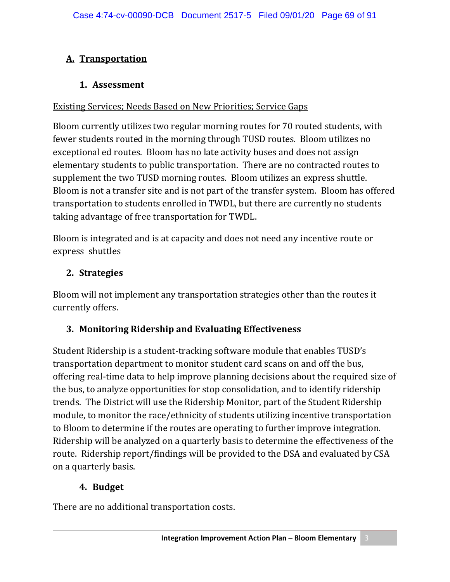# **A. Transportation**

## **1. Assessment**

### Existing Services; Needs Based on New Priorities; Service Gaps

Bloom currently utilizes two regular morning routes for 70 routed students, with fewer students routed in the morning through TUSD routes. Bloom utilizes no exceptional ed routes. Bloom has no late activity buses and does not assign elementary students to public transportation. There are no contracted routes to supplement the two TUSD morning routes. Bloom utilizes an express shuttle. Bloom is not a transfer site and is not part of the transfer system. Bloom has offered transportation to students enrolled in TWDL, but there are currently no students taking advantage of free transportation for TWDL.

Bloom is integrated and is at capacity and does not need any incentive route or express shuttles

## **2. Strategies**

Bloom will not implement any transportation strategies other than the routes it currently offers.

## **3. Monitoring Ridership and Evaluating Effectiveness**

Student Ridership is a student-tracking software module that enables TUSD's transportation department to monitor student card scans on and off the bus, offering real-time data to help improve planning decisions about the required size of the bus, to analyze opportunities for stop consolidation, and to identify ridership trends. The District will use the Ridership Monitor, part of the Student Ridership module, to monitor the race/ethnicity of students utilizing incentive transportation to Bloom to determine if the routes are operating to further improve integration. Ridership will be analyzed on a quarterly basis to determine the effectiveness of the route. Ridership report/findings will be provided to the DSA and evaluated by CSA on a quarterly basis.

## **4. Budget**

There are no additional transportation costs.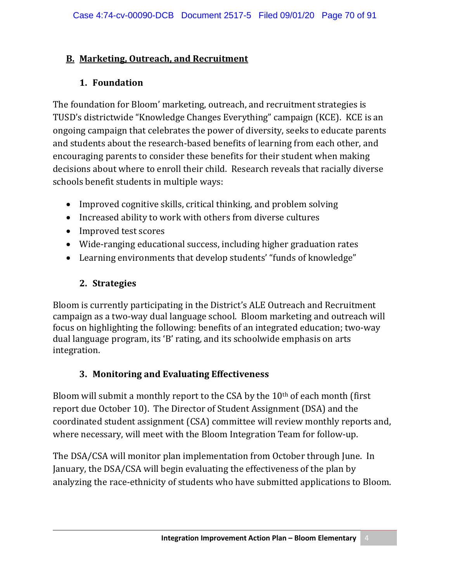### **B. Marketing, Outreach, and Recruitment**

## **1. Foundation**

The foundation for Bloom' marketing, outreach, and recruitment strategies is TUSD's districtwide "Knowledge Changes Everything" campaign (KCE). KCE is an ongoing campaign that celebrates the power of diversity, seeks to educate parents and students about the research-based benefits of learning from each other, and encouraging parents to consider these benefits for their student when making decisions about where to enroll their child. Research reveals that racially diverse schools benefit students in multiple ways:

- Improved cognitive skills, critical thinking, and problem solving
- Increased ability to work with others from diverse cultures
- Improved test scores
- Wide-ranging educational success, including higher graduation rates
- Learning environments that develop students' "funds of knowledge"

# **2. Strategies**

Bloom is currently participating in the District's ALE Outreach and Recruitment campaign as a two-way dual language school. Bloom marketing and outreach will focus on highlighting the following: benefits of an integrated education; two-way dual language program, its 'B' rating, and its schoolwide emphasis on arts integration.

## **3. Monitoring and Evaluating Effectiveness**

Bloom will submit a monthly report to the CSA by the 10th of each month (first report due October 10). The Director of Student Assignment (DSA) and the coordinated student assignment (CSA) committee will review monthly reports and, where necessary, will meet with the Bloom Integration Team for follow-up.

The DSA/CSA will monitor plan implementation from October through June. In January, the DSA/CSA will begin evaluating the effectiveness of the plan by analyzing the race-ethnicity of students who have submitted applications to Bloom.